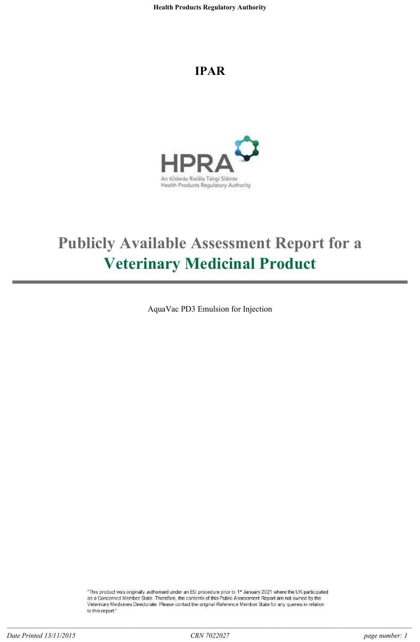# **IPAR**



# **Publicly Available Assessment Report for a Veterinary Medicinal Product**

AquaVac PD3 Emulsion for Injection

"This product was originally authorised under an EU procedure prior to 1st January 2021 where the UK participated as a Concerned Member State. Therefore, the contents of this Public Assessment Report are not owned by the Veterinary Medicines Directorate. Please contact the original Reference Member State for any queries in relation to this report.'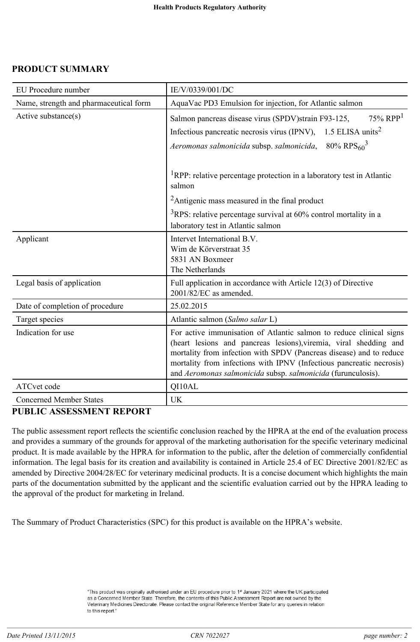# **PRODUCT SUMMARY**

| <b>EU</b> Procedure number             | IE/V/0339/001/DC                                                                                                                                                                                                                                                                                                                                        |
|----------------------------------------|---------------------------------------------------------------------------------------------------------------------------------------------------------------------------------------------------------------------------------------------------------------------------------------------------------------------------------------------------------|
| Name, strength and pharmaceutical form | AquaVac PD3 Emulsion for injection, for Atlantic salmon                                                                                                                                                                                                                                                                                                 |
| Active substance(s)                    | $75\%$ RPP <sup>1</sup><br>Salmon pancreas disease virus (SPDV) strain F93-125,<br>1.5 ELISA units <sup>2</sup><br>Infectious pancreatic necrosis virus (IPNV),<br>80% RPS $_{60}$ <sup>3</sup><br>Aeromonas salmonicida subsp. salmonicida,                                                                                                            |
|                                        | <sup>1</sup> RPP: relative percentage protection in a laboratory test in Atlantic<br>salmon                                                                                                                                                                                                                                                             |
|                                        | <sup>2</sup> Antigenic mass measured in the final product                                                                                                                                                                                                                                                                                               |
|                                        | $3$ RPS: relative percentage survival at 60% control mortality in a<br>laboratory test in Atlantic salmon                                                                                                                                                                                                                                               |
| Applicant                              | Intervet International B.V.<br>Wim de Körverstraat 35<br>5831 AN Boxmeer<br>The Netherlands                                                                                                                                                                                                                                                             |
| Legal basis of application             | Full application in accordance with Article 12(3) of Directive<br>2001/82/EC as amended.                                                                                                                                                                                                                                                                |
| Date of completion of procedure        | 25.02.2015                                                                                                                                                                                                                                                                                                                                              |
| Target species                         | Atlantic salmon (Salmo salar L)                                                                                                                                                                                                                                                                                                                         |
| Indication for use                     | For active immunisation of Atlantic salmon to reduce clinical signs<br>(heart lesions and pancreas lesions), viremia, viral shedding and<br>mortality from infection with SPDV (Pancreas disease) and to reduce<br>mortality from infections with IPNV (Infectious pancreatic necrosis)<br>and Aeromonas salmonicida subsp. salmonicida (furunculosis). |
| ATCvet code                            | QI10AL                                                                                                                                                                                                                                                                                                                                                  |
| <b>Concerned Member States</b>         | <b>UK</b>                                                                                                                                                                                                                                                                                                                                               |

# **PUBLIC ASSESSMENT REPORT**

The public assessment report reflects the scientific conclusion reached by the HPRA at the end of the evaluation process and provides a summary of the grounds for approval of the marketing authorisation for the specific veterinary medicinal product. It is made available by the HPRA for information to the public, after the deletion of commercially confidential information. The legal basis for its creation and availability is contained in Article 25.4 of EC Directive 2001/82/EC as amended by Directive 2004/28/EC for veterinary medicinal products. It is a concise document which highlights the main parts of the documentation submitted by the applicant and the scientific evaluation carried out by the HPRA leading to the approval of the product for marketing in Ireland.

The Summary of Product Characteristics (SPC) for this product is available on the HPRA's website.

<sup>&</sup>quot;This product was originally authorised under an EU procedure prior to 1st January 2021 where the UK participated as a Concerned Member State. Therefore, the contents of this Public Assessment Report are not owned by the Veterinary Medicines Directorate. Please contact the original Reference Member State for any queries in relation to this report."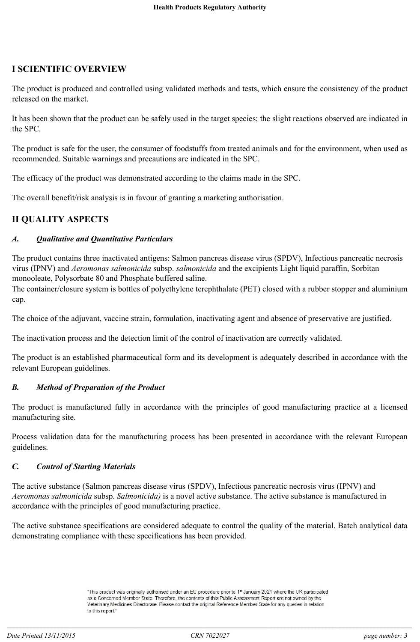# **I SCIENTIFIC OVERVIEW**

The product is produced and controlled using validated methods and tests, which ensure the consistency of the product released on the market.

It has been shown that the product can be safely used in the target species; the slight reactions observed are indicated in the SPC.

The product is safe for the user, the consumer of foodstuffs from treated animals and for the environment, when used as recommended. Suitable warnings and precautions are indicated in the SPC.

The efficacy of the product was demonstrated according to the claims made in the SPC.

The overall benefit/risk analysis is in favour of granting a marketing authorisation.

# **II QUALITY ASPECTS**

# *A. Qualitative and Quantitative Particulars*

The product contains three inactivated antigens: Salmon pancreas disease virus (SPDV), Infectious pancreatic necrosis virus (IPNV) and *Aeromonas salmonicida* subsp. *salmonicida* and the excipients Light liquid paraffin, Sorbitan monooleate, Polysorbate 80 and Phosphate buffered saline.

The container/closure system is bottles of polyethylene terephthalate (PET) closed with a rubber stopper and aluminium cap.

The choice of the adjuvant, vaccine strain, formulation, inactivating agent and absence of preservative are justified.

The inactivation process and the detection limit of the control of inactivation are correctly validated.

The product is an established pharmaceutical form and its development is adequately described in accordance with the relevant European guidelines.

#### *B. Method of Preparation of the Product*

The product is manufactured fully in accordance with the principles of good manufacturing practice at a licensed manufacturing site.

Process validation data for the manufacturing process has been presented in accordance with the relevant European guidelines.

#### *C. Control of Starting Materials*

The active substance (Salmon pancreas disease virus (SPDV), Infectious pancreatic necrosis virus (IPNV) and *Aeromonas salmonicida* subsp. *Salmonicida)* is a novel active substance. The active substance is manufactured in accordance with the principles of good manufacturing practice.

The active substance specifications are considered adequate to control the quality of the material. Batch analytical data demonstrating compliance with these specifications has been provided.

<sup>&</sup>quot;This product was originally authorised under an EU procedure prior to 1st January 2021 where the UK participated as a Concerned Member State. Therefore, the contents of this Public Assessment Report are not owned by the Veterinary Medicines Directorate. Please contact the original Reference Member State for any queries in relation to this report."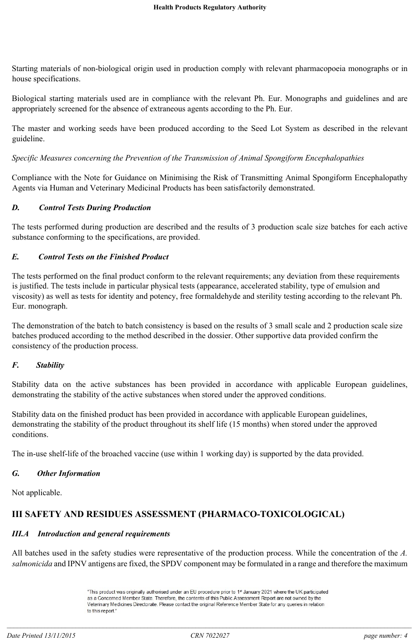Starting materials of non-biological origin used in production comply with relevant pharmacopoeia monographs or in house specifications.

Biological starting materials used are in compliance with the relevant Ph. Eur. Monographs and guidelines and are appropriately screened for the absence of extraneous agents according to the Ph. Eur.

The master and working seeds have been produced according to the Seed Lot System as described in the relevant guideline.

*Specific Measures concerning the Prevention of the Transmission of Animal Spongiform Encephalopathies*

Compliance with the Note for Guidance on Minimising the Risk of Transmitting Animal Spongiform Encephalopathy Agents via Human and Veterinary Medicinal Products has been satisfactorily demonstrated.

# *D. Control Tests During Production*

The tests performed during production are described and the results of 3 production scale size batches for each active substance conforming to the specifications, are provided.

# *E. Control Tests on the Finished Product*

The tests performed on the final product conform to the relevant requirements; any deviation from these requirements is justified. The tests include in particular physical tests (appearance, accelerated stability, type of emulsion and viscosity) as well as tests for identity and potency, free formaldehyde and sterility testing according to the relevant Ph. Eur. monograph.

The demonstration of the batch to batch consistency is based on the results of 3 small scale and 2 production scale size batches produced according to the method described in the dossier. Other supportive data provided confirm the consistency of the production process.

# *F. Stability*

Stability data on the active substances has been provided in accordance with applicable European guidelines, demonstrating the stability of the active substances when stored under the approved conditions.

Stability data on the finished product has been provided in accordance with applicable European guidelines, demonstrating the stability of the product throughout its shelf life (15 months) when stored under the approved conditions.

The in-use shelf-life of the broached vaccine (use within 1 working day) is supported by the data provided.

# *G. Other Information*

Not applicable.

# **III SAFETY AND RESIDUES ASSESSMENT (PHARMACO-TOXICOLOGICAL)**

# *III.A Introduction and general requirements*

All batches used in the safety studies were representative of the production process. While the concentration of the *A. salmonicida* and IPNV antigens are fixed, the SPDV component may be formulated in a range and therefore the maximum

<sup>&</sup>quot;This product was originally authorised under an EU procedure prior to 1st January 2021 where the UK participated as a Concerned Member State. Therefore, the contents of this Public Assessment Report are not owned by the Veterinary Medicines Directorate. Please contact the original Reference Member State for any queries in relation to this report."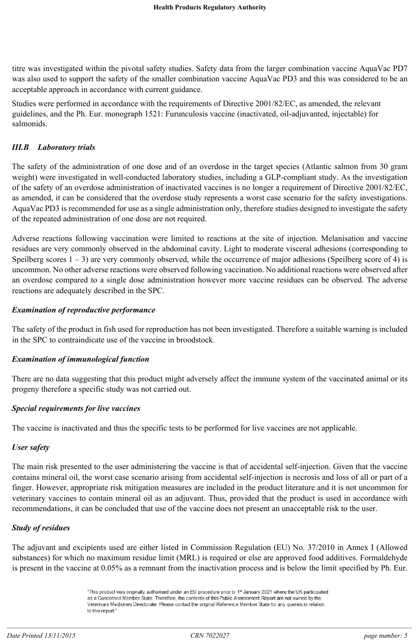titre was investigated within the pivotal safety studies. Safety data from the larger combination vaccine AquaVac PD7 was also used to support the safety of the smaller combination vaccine AquaVac PD3 and this was considered to be an acceptable approach in accordance with current guidance.

Studies were performed in accordance with the requirements of Directive 2001/82/EC, as amended, the relevant guidelines, and the Ph. Eur. monograph 1521: Furunculosis vaccine (inactivated, oil-adjuvanted, injectable) for salmonids.

## *III.B Laboratory trials*

The safety of the administration of one dose and of an overdose in the target species (Atlantic salmon from 30 gram weight) were investigated in well-conducted laboratory studies, including a GLP-compliant study. As the investigation of the safety of an overdose administration of inactivated vaccines is no longer a requirement of Directive 2001/82/EC, as amended, it can be considered that the overdose study represents a worst case scenario for the safety investigations. AquaVac PD3 is recommended for use as a single administration only, therefore studies designed to investigate the safety of the repeated administration of one dose are not required.

Adverse reactions following vaccination were limited to reactions at the site of injection. Melanisation and vaccine residues are very commonly observed in the abdominal cavity. Light to moderate visceral adhesions (corresponding to Speilberg scores  $1 - 3$ ) are very commonly observed, while the occurrence of major adhesions (Speilberg score of 4) is uncommon. No other adverse reactions were observed following vaccination. No additional reactions were observed after an overdose compared to a single dose administration however more vaccine residues can be observed. The adverse reactions are adequately described in the SPC.

#### *Examination of reproductive performance*

The safety of the product in fish used for reproduction has not been investigated. Therefore a suitable warning is included in the SPC to contraindicate use of the vaccine in broodstock.

#### *Examination of immunological function*

There are no data suggesting that this product might adversely affect the immune system of the vaccinated animal or its progeny therefore a specific study was not carried out.

#### *Special requirements for live vaccines*

The vaccine is inactivated and thus the specific tests to be performed for live vaccines are not applicable.

#### *User safety*

The main risk presented to the user administering the vaccine is that of accidental self-injection. Given that the vaccine contains mineral oil, the worst case scenario arising from accidental self-injection is necrosis and loss of all or part of a finger. However, appropriate risk mitigation measures are included in the product literature and it is not uncommon for veterinary vaccines to contain mineral oil as an adjuvant. Thus, provided that the product is used in accordance with recommendations, it can be concluded that use of the vaccine does not present an unacceptable risk to the user.

#### *Study of residues*

The adjuvant and excipients used are either listed in Commission Regulation (EU) No. 37/2010 in Annex I (Allowed substances) for which no maximum residue limit (MRL) is required or else are approved food additives. Formaldehyde is present in the vaccine at 0.05% as a remnant from the inactivation process and is below the limit specified by Ph. Eur.

<sup>&</sup>quot;This product was originally authorised under an EU procedure prior to 1st January 2021 where the UK participated as a Concerned Member State. Therefore, the contents of this Public Assessment Report are not owned by the Veterinary Medicines Directorate. Please contact the original Reference Member State for any queries in relation to this report."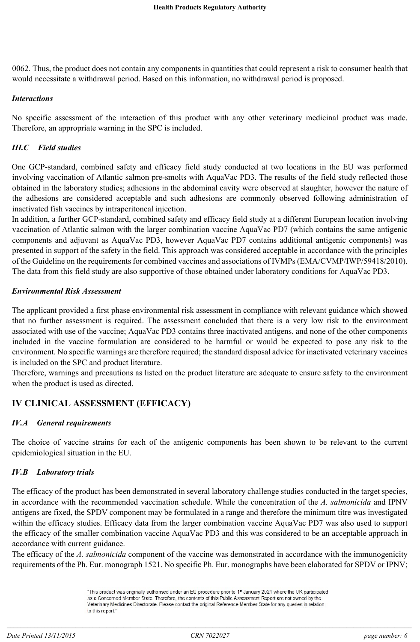0062. Thus, the product does not contain any components in quantities that could represent a risk to consumer health that would necessitate a withdrawal period. Based on this information, no withdrawal period is proposed.

#### *Interactions*

No specific assessment of the interaction of this product with any other veterinary medicinal product was made. Therefore, an appropriate warning in the SPC is included.

## *III.C Field studies*

One GCP-standard, combined safety and efficacy field study conducted at two locations in the EU was performed involving vaccination of Atlantic salmon pre-smolts with AquaVac PD3. The results of the field study reflected those obtained in the laboratory studies; adhesions in the abdominal cavity were observed at slaughter, however the nature of the adhesions are considered acceptable and such adhesions are commonly observed following administration of inactivated fish vaccines by intraperitoneal injection.

In addition, a further GCP-standard, combined safety and efficacy field study at a different European location involving vaccination of Atlantic salmon with the larger combination vaccine AquaVac PD7 (which contains the same antigenic components and adjuvant as AquaVac PD3, however AquaVac PD7 contains additional antigenic components) was presented in support of the safety in the field. This approach was considered acceptable in accordance with the principles of the Guideline on the requirements for combined vaccines and associations of IVMPs (EMA/CVMP/IWP/59418/2010). The data from this field study are also supportive of those obtained under laboratory conditions for AquaVac PD3.

#### *Environmental Risk Assessment*

The applicant provided a first phase environmental risk assessment in compliance with relevant guidance which showed that no further assessment is required. The assessment concluded that there is a very low risk to the environment associated with use of the vaccine; AquaVac PD3 contains three inactivated antigens, and none of the other components included in the vaccine formulation are considered to be harmful or would be expected to pose any risk to the environment. No specific warnings are therefore required; the standard disposal advice for inactivated veterinary vaccines is included on the SPC and product literature.

Therefore, warnings and precautions as listed on the product literature are adequate to ensure safety to the environment when the product is used as directed.

# **IV CLINICAL ASSESSMENT (EFFICACY)**

# *IV.A General requirements*

The choice of vaccine strains for each of the antigenic components has been shown to be relevant to the current epidemiological situation in the EU.

# *IV.B Laboratory trials*

The efficacy of the product has been demonstrated in several laboratory challenge studies conducted in the target species, in accordance with the recommended vaccination schedule. While the concentration of the *A. salmonicida* and IPNV antigens are fixed, the SPDV component may be formulated in a range and therefore the minimum titre was investigated within the efficacy studies. Efficacy data from the larger combination vaccine AquaVac PD7 was also used to support the efficacy of the smaller combination vaccine AquaVac PD3 and this was considered to be an acceptable approach in accordance with current guidance.

The efficacy of the *A. salmonicida* component of the vaccine was demonstrated in accordance with the immunogenicity requirements of the Ph. Eur. monograph 1521. No specific Ph. Eur. monographs have been elaborated for SPDV or IPNV;

<sup>&</sup>quot;This product was originally authorised under an EU procedure prior to 1st January 2021 where the UK participated as a Concerned Member State. Therefore, the contents of this Public Assessment Report are not owned by the Veterinary Medicines Directorate. Please contact the original Reference Member State for any queries in relation to this report."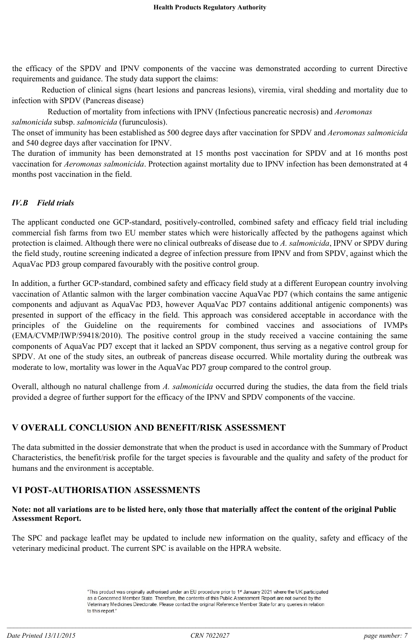the efficacy of the SPDV and IPNV components of the vaccine was demonstrated according to current Directive requirements and guidance. The study data support the claims:

Reduction of clinical signs (heart lesions and pancreas lesions), viremia, viral shedding and mortality due to infection with SPDV (Pancreas disease)

Reduction of mortality from infections with IPNV (Infectious pancreatic necrosis) and *Aeromonas salmonicida* subsp. *salmonicida* (furunculosis).

The onset of immunity has been established as 500 degree days after vaccination for SPDV and *Aeromonas salmonicida*  and 540 degree days after vaccination for IPNV.

The duration of immunity has been demonstrated at 15 months post vaccination for SPDV and at 16 months post vaccination for *Aeromonas salmonicida*. Protection against mortality due to IPNV infection has been demonstrated at 4 months post vaccination in the field.

# *IV.B Field trials*

The applicant conducted one GCP-standard, positively-controlled, combined safety and efficacy field trial including commercial fish farms from two EU member states which were historically affected by the pathogens against which protection is claimed. Although there were no clinical outbreaks of disease due to *A. salmonicida*, IPNV or SPDV during the field study, routine screening indicated a degree of infection pressure from IPNV and from SPDV, against which the AquaVac PD3 group compared favourably with the positive control group.

In addition, a further GCP-standard, combined safety and efficacy field study at a different European country involving vaccination of Atlantic salmon with the larger combination vaccine AquaVac PD7 (which contains the same antigenic components and adjuvant as AquaVac PD3, however AquaVac PD7 contains additional antigenic components) was presented in support of the efficacy in the field. This approach was considered acceptable in accordance with the principles of the Guideline on the requirements for combined vaccines and associations of IVMPs (EMA/CVMP/IWP/59418/2010). The positive control group in the study received a vaccine containing the same components of AquaVac PD7 except that it lacked an SPDV component, thus serving as a negative control group for SPDV. At one of the study sites, an outbreak of pancreas disease occurred. While mortality during the outbreak was moderate to low, mortality was lower in the AquaVac PD7 group compared to the control group.

Overall, although no natural challenge from *A. salmonicida* occurred during the studies, the data from the field trials provided a degree of further support for the efficacy of the IPNV and SPDV components of the vaccine.

# **V OVERALL CONCLUSION AND BENEFIT/RISK ASSESSMENT**

The data submitted in the dossier demonstrate that when the product is used in accordance with the Summary of Product Characteristics, the benefit/risk profile for the target species is favourable and the quality and safety of the product for humans and the environment is acceptable.

# **VI POST-AUTHORISATION ASSESSMENTS**

#### **Note: not all variations are to be listed here, only those that materially affect the content of the original Public Assessment Report.**

The SPC and package leaflet may be updated to include new information on the quality, safety and efficacy of the veterinary medicinal product. The current SPC is available on the HPRA website.

<sup>&</sup>quot;This product was originally authorised under an EU procedure prior to 1st January 2021 where the UK participated as a Concerned Member State. Therefore, the contents of this Public Assessment Report are not owned by the Veterinary Medicines Directorate. Please contact the original Reference Member State for any queries in relation to this report."